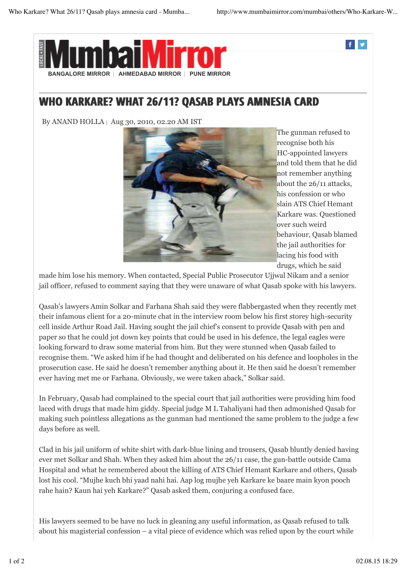f v



## WHO KARKARE? WHAT 26/11? QASAB PLAYS AMNESIA CARD

By ANAND HOLLA | Aug 30, 2010, 02.20 AM IST



The gunman refused to recognise both his HC-appointed lawyers and told them that he did not remember anything about the 26/11 attacks, his confession or who slain ATS Chief Hemant Karkare was. Questioned over such weird behaviour, Qasab blamed the jail authorities for lacing his food with drugs, which he said

made him lose his memory. When contacted, Special Public Prosecutor Ujjwal Nikam and a senior jail officer, refused to comment saying that they were unaware of what Qasab spoke with his lawyers.

Qasab's lawyers Amin Solkar and Farhana Shah said they were flabbergasted when they recently met their infamous client for a 20-minute chat in the interview room below his first storey high-security cell inside Arthur Road Jail. Having sought the jail chief's consent to provide Qasab with pen and paper so that he could jot down key points that could be used in his defence, the legal eagles were looking forward to draw some material from him. But they were stunned when Qasab failed to recognise them. "We asked him if he had thought and deliberated on his defence and loopholes in the prosecution case. He said he doesn't remember anything about it. He then said he doesn't remember ever having met me or Farhana. Obviously, we were taken aback," Solkar said.

In February, Qasab had complained to the special court that jail authorities were providing him food laced with drugs that made him giddy. Special judge M L Tahaliyani had then admonished Qasab for making such pointless allegations as the gunman had mentioned the same problem to the judge a few days before as well.

Clad in his jail uniform of white shirt with dark-blue lining and trousers, Qasab bluntly denied having ever met Solkar and Shah. When they asked him about the 26/11 case, the gun-battle outside Cama Hospital and what he remembered about the killing of ATS Chief Hemant Karkare and others, Qasab lost his cool. "Mujhe kuch bhi yaad nahi hai. Aap log mujhe yeh Karkare ke baare main kyon pooch rahe hain? Kaun hai yeh Karkare?" Qasab asked them, conjuring a confused face.

His lawyers seemed to be have no luck in gleaning any useful information, as Qasab refused to talk about his magisterial confession – a vital piece of evidence which was relied upon by the court while